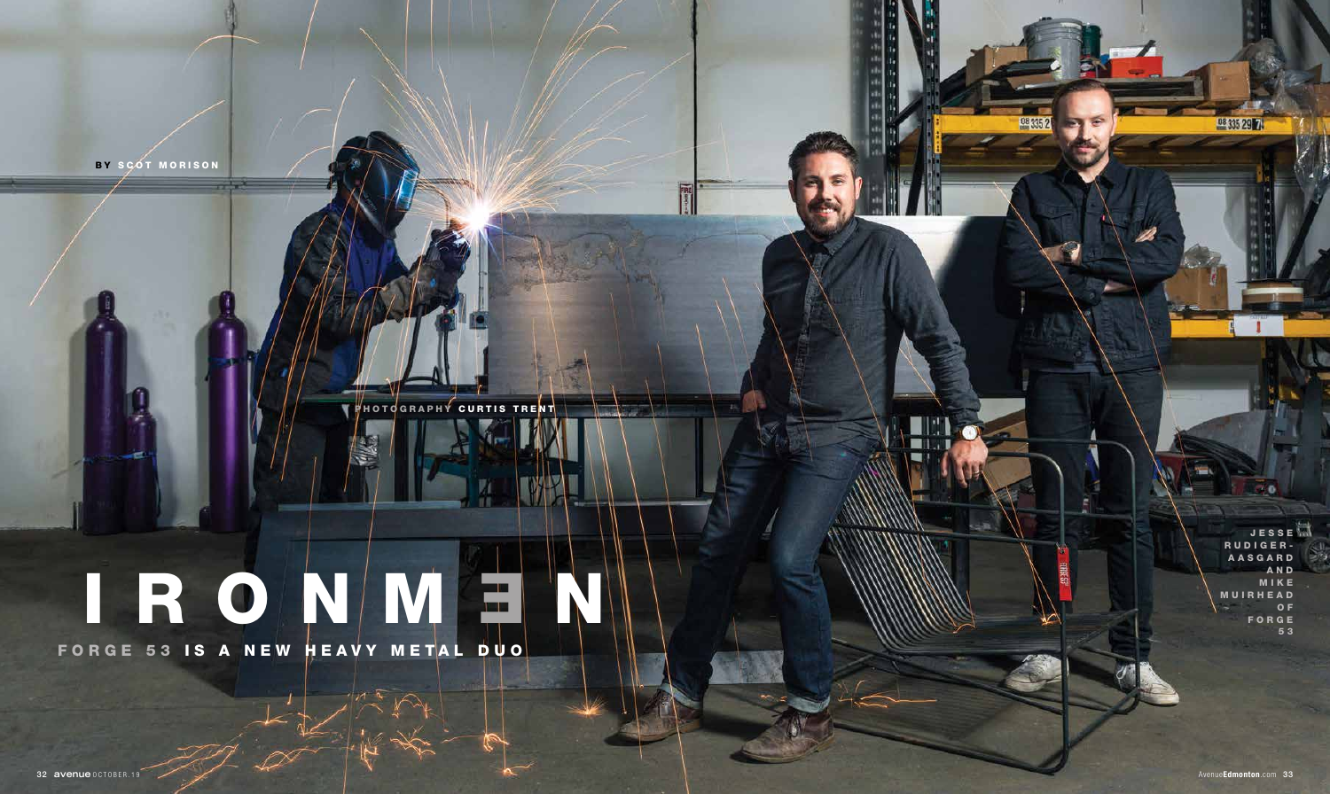FORGE 53 IS A NEW HEAVY METAL DUO



## IRONMEN

J E S S E RUDIGER-A A S G A R D AND M I K E M U I R H E A D O F FORGE 5 3

DB 335 29 7

08 335 2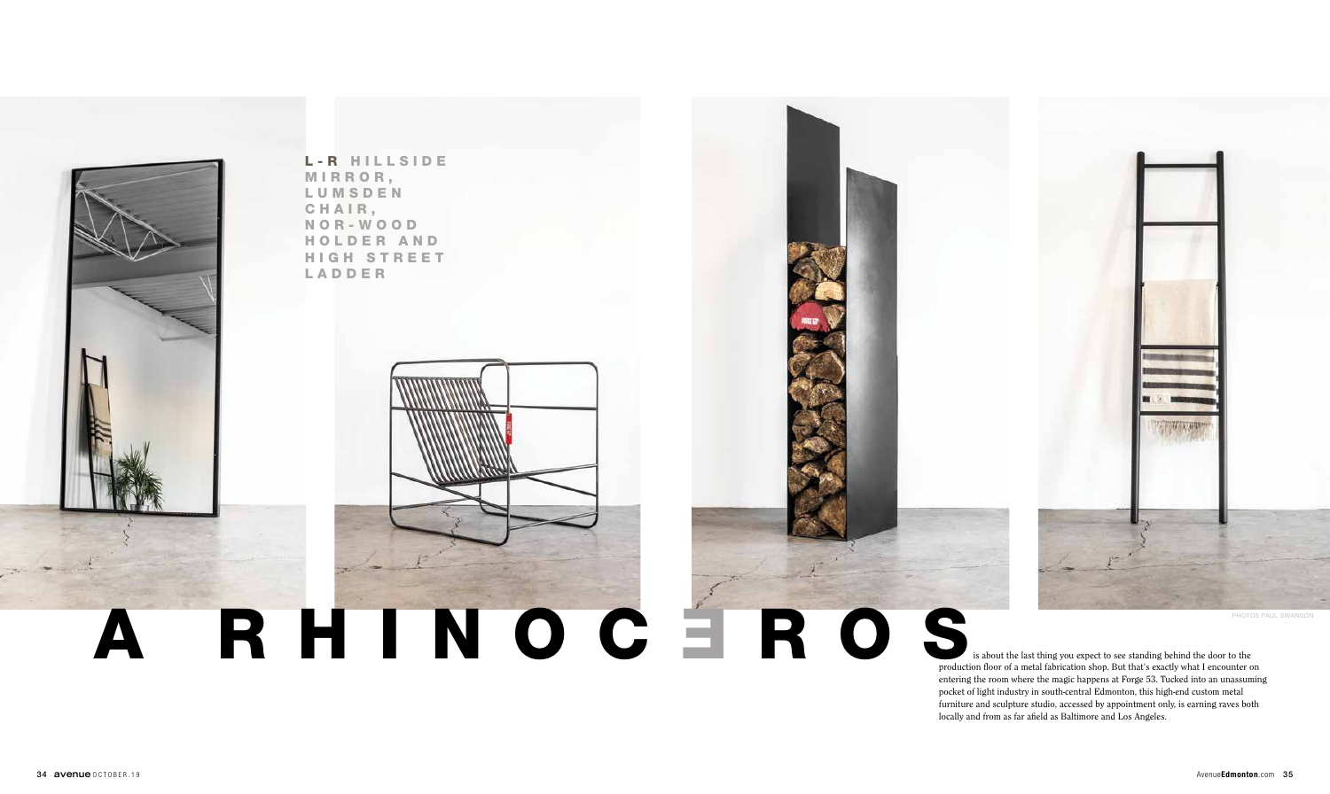is about the last thing you expect to see standing behind the door to the production floor of a metal fabrication shop. But that's exactly what I encounter on entering the room where the magic happens at Forge 53. Tucked into an unassuming pocket of light industry in south-central Edmonton, this high-end custom metal furniture and sculpture studio, accessed by appointment only, is earning raves both locally and from as far afield as Baltimore and Los Angeles.



L-R HILLSIDE MIRROR, **LUMSDEN** CHAIR, N O R - W O O D H O L D E R A N D HIGH STREET LADDER

## RHINOC EROS



PHOTOS PAUL SWANSON